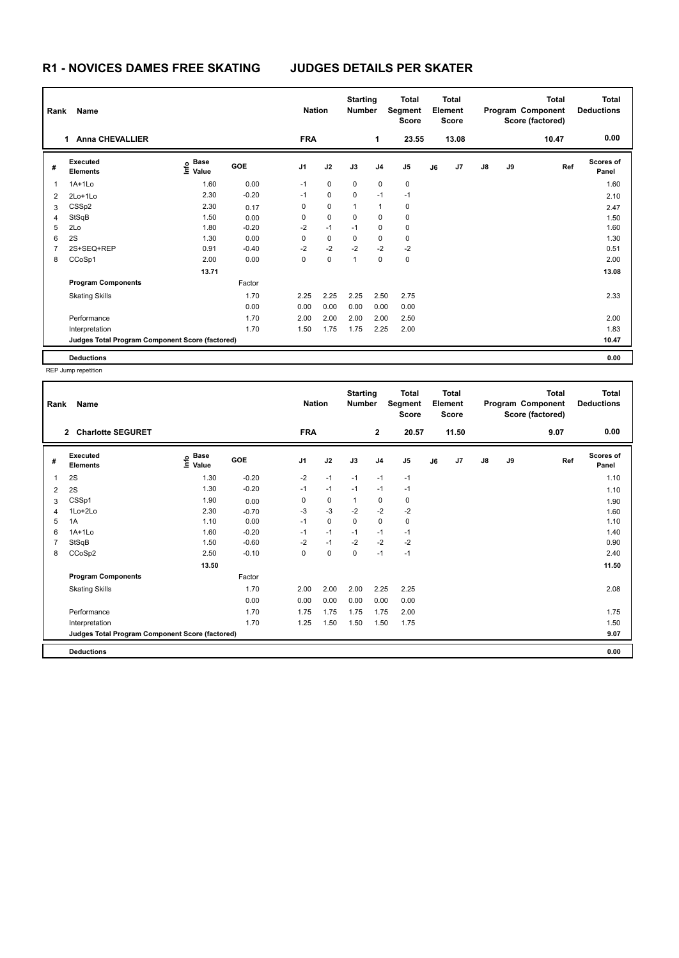## **R1 - NOVICES DAMES FREE SKATING JUDGES DETAILS PER SKATER**

| Rank           | Name                                            |                                             |         | <b>Nation</b>  |             | <b>Starting</b><br><b>Number</b> |                | <b>Total</b><br>Segment<br><b>Score</b> |    | <b>Total</b><br>Element<br>Score |               |    | <b>Total</b><br>Program Component<br>Score (factored) | <b>Total</b><br><b>Deductions</b> |
|----------------|-------------------------------------------------|---------------------------------------------|---------|----------------|-------------|----------------------------------|----------------|-----------------------------------------|----|----------------------------------|---------------|----|-------------------------------------------------------|-----------------------------------|
|                | <b>Anna CHEVALLIER</b><br>1.                    |                                             |         | <b>FRA</b>     |             |                                  | 1              | 23.55                                   |    | 13.08                            |               |    | 10.47                                                 | 0.00                              |
| #              | Executed<br><b>Elements</b>                     | <b>Base</b><br>은 <sup>Base</sup><br>⊆ Value | GOE     | J <sub>1</sub> | J2          | J3                               | J <sub>4</sub> | J <sub>5</sub>                          | J6 | J7                               | $\mathsf{J}8$ | J9 | Ref                                                   | <b>Scores of</b><br>Panel         |
| 1              | $1A+1Lo$                                        | 1.60                                        | 0.00    | $-1$           | $\mathbf 0$ | 0                                | $\mathbf 0$    | $\pmb{0}$                               |    |                                  |               |    |                                                       | 1.60                              |
| 2              | $2Lo+1Lo$                                       | 2.30                                        | $-0.20$ | $-1$           | $\mathbf 0$ | $\mathbf 0$                      | $-1$           | $-1$                                    |    |                                  |               |    |                                                       | 2.10                              |
| 3              | CSSp2                                           | 2.30                                        | 0.17    | 0              | $\mathbf 0$ | 1                                | $\overline{1}$ | 0                                       |    |                                  |               |    |                                                       | 2.47                              |
| 4              | StSqB                                           | 1.50                                        | 0.00    | 0              | $\mathbf 0$ | $\mathbf 0$                      | $\mathbf 0$    | $\pmb{0}$                               |    |                                  |               |    |                                                       | 1.50                              |
| 5              | 2Lo                                             | 1.80                                        | $-0.20$ | $-2$           | $-1$        | $-1$                             | 0              | 0                                       |    |                                  |               |    |                                                       | 1.60                              |
| 6              | 2S                                              | 1.30                                        | 0.00    | 0              | $\mathbf 0$ | 0                                | $\mathbf 0$    | 0                                       |    |                                  |               |    |                                                       | 1.30                              |
| $\overline{7}$ | 2S+SEQ+REP                                      | 0.91                                        | $-0.40$ | $-2$           | $-2$        | $-2$                             | $-2$           | $-2$                                    |    |                                  |               |    |                                                       | 0.51                              |
| 8              | CCoSp1                                          | 2.00                                        | 0.00    | 0              | $\mathbf 0$ | 1                                | $\mathbf 0$    | $\pmb{0}$                               |    |                                  |               |    |                                                       | 2.00                              |
|                |                                                 | 13.71                                       |         |                |             |                                  |                |                                         |    |                                  |               |    |                                                       | 13.08                             |
|                | <b>Program Components</b>                       |                                             | Factor  |                |             |                                  |                |                                         |    |                                  |               |    |                                                       |                                   |
|                | <b>Skating Skills</b>                           |                                             | 1.70    | 2.25           | 2.25        | 2.25                             | 2.50           | 2.75                                    |    |                                  |               |    |                                                       | 2.33                              |
|                |                                                 |                                             | 0.00    | 0.00           | 0.00        | 0.00                             | 0.00           | 0.00                                    |    |                                  |               |    |                                                       |                                   |
|                | Performance                                     |                                             | 1.70    | 2.00           | 2.00        | 2.00                             | 2.00           | 2.50                                    |    |                                  |               |    |                                                       | 2.00                              |
|                | Interpretation                                  |                                             | 1.70    | 1.50           | 1.75        | 1.75                             | 2.25           | 2.00                                    |    |                                  |               |    |                                                       | 1.83                              |
|                | Judges Total Program Component Score (factored) |                                             |         |                |             |                                  |                |                                         |    |                                  |               |    |                                                       | 10.47                             |
|                | <b>Deductions</b>                               |                                             |         |                |             |                                  |                |                                         |    |                                  |               |    |                                                       | 0.00                              |

REP Jump repetition

| Rank | Name                                            |                   |         | <b>Nation</b>  |             | <b>Starting</b><br><b>Number</b> |                | <b>Total</b><br>Segment<br><b>Score</b> |    | <b>Total</b><br>Element<br><b>Score</b> |               |    | <b>Total</b><br>Program Component<br>Score (factored) | <b>Total</b><br><b>Deductions</b> |
|------|-------------------------------------------------|-------------------|---------|----------------|-------------|----------------------------------|----------------|-----------------------------------------|----|-----------------------------------------|---------------|----|-------------------------------------------------------|-----------------------------------|
|      | 2 Charlotte SEGURET                             |                   |         | <b>FRA</b>     |             |                                  | $\mathbf{2}$   | 20.57                                   |    | 11.50                                   |               |    | 9.07                                                  | 0.00                              |
| #    | Executed<br><b>Elements</b>                     | e Base<br>E Value | GOE     | J <sub>1</sub> | J2          | J3                               | J <sub>4</sub> | J <sub>5</sub>                          | J6 | J7                                      | $\mathsf{J}8$ | J9 | Ref                                                   | <b>Scores of</b><br>Panel         |
| 1    | 2S                                              | 1.30              | $-0.20$ | $-2$           | $-1$        | $-1$                             | $-1$           | $-1$                                    |    |                                         |               |    |                                                       | 1.10                              |
| 2    | 2S                                              | 1.30              | $-0.20$ | $-1$           | $-1$        | $-1$                             | $-1$           | $-1$                                    |    |                                         |               |    |                                                       | 1.10                              |
| 3    | CSSp1                                           | 1.90              | 0.00    | 0              | $\mathbf 0$ | 1                                | 0              | 0                                       |    |                                         |               |    |                                                       | 1.90                              |
| 4    | 1Lo+2Lo                                         | 2.30              | $-0.70$ | $-3$           | $-3$        | $-2$                             | $-2$           | $-2$                                    |    |                                         |               |    |                                                       | 1.60                              |
| 5    | 1A                                              | 1.10              | 0.00    | $-1$           | 0           | 0                                | 0              | 0                                       |    |                                         |               |    |                                                       | 1.10                              |
| 6    | $1A+1Lo$                                        | 1.60              | $-0.20$ | $-1$           | $-1$        | $-1$                             | $-1$           | $-1$                                    |    |                                         |               |    |                                                       | 1.40                              |
|      | <b>StSqB</b>                                    | 1.50              | $-0.60$ | $-2$           | $-1$        | $-2$                             | $-2$           | $-2$                                    |    |                                         |               |    |                                                       | 0.90                              |
| 8    | CCoSp2                                          | 2.50              | $-0.10$ | 0              | $\mathbf 0$ | $\mathbf 0$                      | $-1$           | $-1$                                    |    |                                         |               |    |                                                       | 2.40                              |
|      |                                                 | 13.50             |         |                |             |                                  |                |                                         |    |                                         |               |    |                                                       | 11.50                             |
|      | <b>Program Components</b>                       |                   | Factor  |                |             |                                  |                |                                         |    |                                         |               |    |                                                       |                                   |
|      | <b>Skating Skills</b>                           |                   | 1.70    | 2.00           | 2.00        | 2.00                             | 2.25           | 2.25                                    |    |                                         |               |    |                                                       | 2.08                              |
|      |                                                 |                   | 0.00    | 0.00           | 0.00        | 0.00                             | 0.00           | 0.00                                    |    |                                         |               |    |                                                       |                                   |
|      | Performance                                     |                   | 1.70    | 1.75           | 1.75        | 1.75                             | 1.75           | 2.00                                    |    |                                         |               |    |                                                       | 1.75                              |
|      | Interpretation                                  |                   | 1.70    | 1.25           | 1.50        | 1.50                             | 1.50           | 1.75                                    |    |                                         |               |    |                                                       | 1.50                              |
|      | Judges Total Program Component Score (factored) |                   |         |                |             |                                  |                |                                         |    |                                         |               |    |                                                       | 9.07                              |
|      | <b>Deductions</b>                               |                   |         |                |             |                                  |                |                                         |    |                                         |               |    |                                                       | 0.00                              |